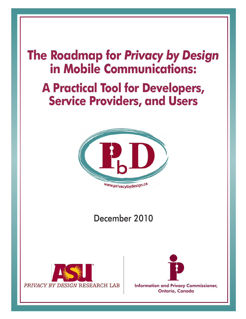# **The Roadmap for** *Privacy by Design* **in Mobile Communications:**

# **A Practical Tool for Developers, Service Providers, and Users**



# December 2010





Information and Privacy Commissioner, Ontario, Canada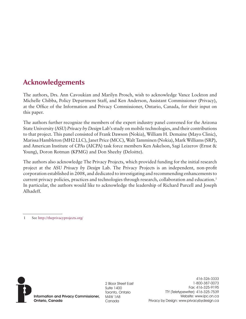## **Acknowledgements**

The authors, Drs. Ann Cavoukian and Marilyn Prosch, wish to acknowledge Vance Lockton and Michelle Chibba, Policy Department Staff, and Ken Anderson, Assistant Commissioner (Privacy), at the Office of the Information and Privacy Commissioner, Ontario, Canada, for their input on this paper.

The authors further recognize the members of the expert industry panel convened for the Arizona State University (ASU) *Privacy by Design* Lab's study on mobile technologies, and their contributions to that project. This panel consisted of Frank Dawson (Nokia), William H. Demaine (Mayo Clinic), Marissa Hambleton (MH2 LLC), Janet Price (MCC), Walt Tamminen (Nokia), Mark Williams (SRP), and American Institute of CPAs (AICPA) task force members Ken Askelson, Sagi Leizerov (Ernst & Young), Doron Rotman (KPMG) and Don Sheehy (Deloitte).

The authors also acknowledge The Privacy Projects, which provided funding for the initial research project at the ASU *Privacy by Design* Lab. The Privacy Projects is an independent, non-profit corporation established in 2008, and dedicated to investigating and recommending enhancements to current privacy policies, practices and technologies through research, collaboration and education.<sup>1</sup> In particular, the authors would like to acknowledge the leadership of Richard Purcell and Joseph Alhadeff.

1 See http://theprivacyprojects.org/



2 Bloor Street East Suite 1400 Toronto, Ontario M4W 1A8 Canada

416-326-3333 1-800-387-0073 Fax: 416-325-9195 TTY (Teletypewriter): 416-325-7539 Website: www.ipc.on.ca Privacy by Design: www.privacybydesign.ca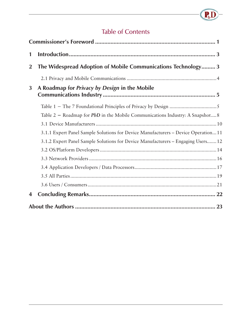

### Table of Contents

| 1              |                                                                                      |  |
|----------------|--------------------------------------------------------------------------------------|--|
| $\overline{2}$ | The Widespread Adoption of Mobile Communications Technology 3                        |  |
|                |                                                                                      |  |
| 3              | A Roadmap for <i>Privacy by Design</i> in the Mobile                                 |  |
|                |                                                                                      |  |
|                | Table 2 – Roadmap for <i>PbD</i> in the Mobile Communications Industry: A Snapshot 8 |  |
|                |                                                                                      |  |
|                | 3.1.1 Expert Panel Sample Solutions for Device Manufacturers - Device Operation11    |  |
|                | 3.1.2 Expert Panel Sample Solutions for Device Manufacturers - Engaging Users 12     |  |
|                |                                                                                      |  |
|                |                                                                                      |  |
|                |                                                                                      |  |
|                |                                                                                      |  |
|                |                                                                                      |  |
| 4              |                                                                                      |  |
|                |                                                                                      |  |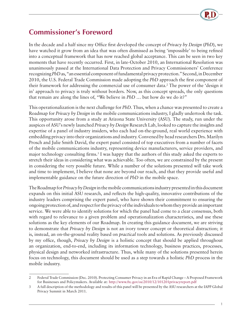

## **Commissioner's Foreword**

In the decade and a half since my Office first developed the concept of *Privacy by Design* (*PbD*), we have watched it grow from an idea that was often dismissed as being 'impossible' to being refined into a conceptual framework that has now reached global acceptance. This can be seen in two key moments that have recently occurred. First, in late-October 2010, an International Resolution was unanimously passed at the International Data Protection and Privacy Commissioners' Conference recognizing *PbD* as, "an essential component of fundamental privacy protection." Second, in December 2010, the U.S. Federal Trade Commission made adopting the *PbD* approach the first component of their framework for addressing the commercial use of consumer data.<sup>2</sup> The power of the 'design it in' approach to privacy is truly without borders. Now, as this concept spreads, the only questions that remain are along the lines of, "We believe in *PbD* … but how do we do it?"

This operationalization is the next challenge for *PbD*. Thus, when a chance was presented to create a Roadmap for *Privacy by Design* in the mobile communications industry, I gladly undertook the task. This opportunity arose from a study at Arizona State University (ASU). The study, run under the auspices of ASU's newly launched *Privacy by Design* Research Lab, looked to capture the insights and expertise of a panel of industry insiders, who each had on-the-ground, real world experience with embedding privacy into their organizations and industry. Convened by head researchers Drs. Marilyn Prosch and Julie Smith David, the expert panel consisted of top executives from a number of facets of the mobile communications industry, representing device manufacturers, service providers, and major technology consulting firms.<sup>3</sup> I was happy that the authors of this study asked the experts to stretch their ideas in considering what was achievable. Too often, we are constrained by the present in considering the very possible future. While a number of the solutions presented will take work and time to implement, I believe that none are beyond our reach, and that they provide useful and implementable guidance on the future direction of *PbD* in the mobile space.

The Roadmap for *Privacy by Design* in the mobile communications industry presented in this document expands on this initial ASU research, and reflects the high-quality, innovative contributions of the industry leaders comprising the expert panel, who have shown their commitment to ensuring the ongoing protection of, and respect for the privacy of the individuals to whom they provide an important service. We were able to identify solutions for which the panel had come to a clear consensus, both with regard to relevance to a given problem and operationalization characteristics, and use these solutions as the key elements of our Roadmap. In creating this guidance document, we are striving to demonstrate that *Privacy by Design* is not an ivory tower concept or theoretical distraction; it is, instead, an on-the-ground reality based on *practical* tools and solutions. As previously discussed by my office, though, *Privacy by Design* is a holistic concept that should be applied throughout an organization, end-to-end, including its information technology, business practices, processes, physical design and networked infrastructure. Thus, while many of the solutions presented herein focus on technology, this document should be used as a step towards a holistic *PbD* process in the mobile industry.

<sup>2</sup> Federal Trade Commission (Dec. 2010). Protecting Consumer Privacy in an Era of Rapid Change – A Proposed Framework for Businesses and Policymakers. Available at: http://www.ftc.gov/os/2010/12/101201privacyreport.pdf

<sup>3</sup> A full description of the methodology and results of this panel will be presented by the ASU researchers at the IAPP Global Privacy Summit in March 2011.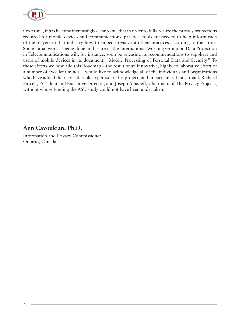

Over time, it has become increasingly clear to me that in order to fully realize the privacy protections required for mobile devices and communications, practical tools are needed to help inform each of the players in that industry how to embed privacy into their practices according to their role. Some initial work is being done in this area – the International Working Group on Data Protection in Telecommunications will, for instance, soon be releasing its recommendations to suppliers and users of mobile devices in its document, "Mobile Processing of Personal Data and Security." To these efforts we now add this Roadmap – the result of an innovative, highly collaborative effort of a number of excellent minds. I would like to acknowledge all of the individuals and organizations who have added their considerable expertise to this project, and in particular, I must thank Richard Purcell, President and Executive Director, and Joseph Alhadeff, Chairman, of The Privacy Projects, without whose funding the ASU study could not have been undertaken.

**Ann Cavoukian, Ph.D.**

Information and Privacy Commissioner Ontario, Canada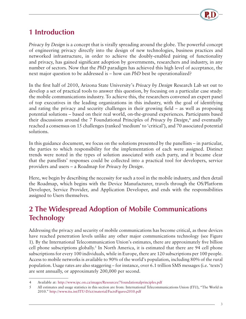

# **1 Introduction**

*Privacy by Design* is a concept that is virally spreading around the globe. The powerful concept of engineering privacy directly into the design of new technologies, business practices and networked infrastructure, in order to achieve the doubly-enabled pairing of functionality and privacy, has gained significant adoption by governments, researchers and industry, in any number of sectors. Now that the *PbD* paradigm has achieved this high level of acceptance, the next major question to be addressed is – how can *PbD* best be operationalized?

In the first half of 2010, Arizona State University's *Privacy by Design* Research Lab set out to develop a set of practical tools to answer this question, by focusing on a particular case study: the mobile communications industry. To achieve this, the researchers convened an expert panel of top executives in the leading organizations in this industry, with the goal of identifying and rating the privacy and security challenges in their growing field – as well as proposing potential solutions – based on their real world, on-the-ground experiences. Participants based their discussions around the 7 Foundational Principles of *Privacy by Design*, 4 and eventually reached a consensus on 15 challenges (ranked 'medium' to 'critical'), and 70 associated potential solutions.

In this guidance document, we focus on the solutions presented by the panellists – in particular, the parties to which responsibility for the implementation of each were assigned. Distinct trends were noted in the types of solution associated with each party, and it became clear that the panellists' responses could be collected into a practical tool for developers, service providers and users – a Roadmap for *Privacy by Design*.

Here, we begin by describing the necessity for such a tool in the mobile industry, and then detail the Roadmap, which begins with the Device Manufacturer, travels through the OS/Platform Developer, Service Provider, and Application Developer, and ends with the responsibilities assigned to Users themselves.

# **2 The Widespread Adoption of Mobile Communications Technology**

Addressing the privacy and security of mobile communications has become critical, as these devices have reached penetration levels unlike any other major communications technology (see Figure 1). By the International Telecommunication Union's estimates, there are approximately five billion cell phone subscriptions globally.<sup>5</sup> In North America, it is estimated that there are 94 cell phone subscriptions for every 100 individuals, while in Europe, there are 120 subscriptions per 100 people. Access to mobile networks is available to 90% of the world's population, including 80% of the rural population. Usage rates are also staggering – for instance, over 6.1 trillion SMS messages (i.e. 'texts') are sent annually, or approximately 200,000 per second.

<sup>4</sup> Available at: http://www.ipc.on.ca/images/Resources/7foundationalprinciples.pdf

<sup>5</sup> All estimates and usage statistics in this section are from: International Telecommunications Union (ITU), "The World in 2010." http://www.itu.int/ITU-D/ict/material/FactsFigures2010.pdf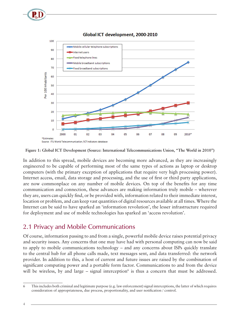

#### Global ICT development, 2000-2010

**Figure 1: Global ICT Development (Source: International Telecommunications Union, "The World in 2010")**

In addition to this spread, mobile devices are becoming more advanced, as they are increasingly engineered to be capable of performing most of the same types of actions as laptop or desktop computers (with the primary exception of applications that require very high processing power). Internet access, email, data storage and processing, and the use of first or third party applications, are now commonplace on any number of mobile devices. On top of the benefits for any time communication and connection, these advances are making information truly mobile – wherever they are, users can quickly find, or be provided with, information related to their immediate interest, location or problem, and can keep vast quantities of digital resources available at all times. Where the Internet can be said to have sparked an 'information revolution', the lesser infrastructure required for deployment and use of mobile technologies has sparked an 'access revolution'.

### 2.1 Privacy and Mobile Communications

Of course, information passing to and from a single, powerful mobile device raises potential privacy and security issues. Any concerns that one may have had with personal computing can now be said to apply to mobile communications technology – and any concerns about ISPs quickly translate to the central hub for all phone calls made, text messages sent, and data transferred: the network provider. In addition to this, a host of current and future issues are raised by the combination of significant computing power and a portable form factor. Communications to and from the device will be wireless, by and large  $-$  signal interception<sup>6</sup> is thus a concern that must be addressed.

<sup>6</sup> This includes both criminal and legitimate purpose (e.g. law enforcement) signal interceptions, the latter of which requires consideration of appropriateness, due process, proportionality, and user notification / control.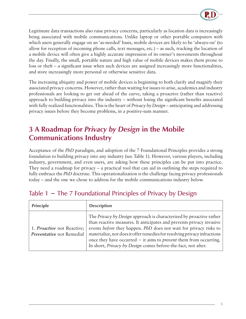

Legitimate data transactions also raise privacy concerns, particularly as location data is increasingly being associated with mobile communications. Unlike laptop or other portable computers with which users generally engage on an 'as-needed' basis, mobile devices are likely to be 'always-on' (to allow for reception of incoming phone calls, text messages, etc.) – as such, tracking the location of a mobile device will often give a highly accurate impression of its owner's movements throughout the day. Finally, the small, portable nature and high value of mobile devices makes them prone to loss or theft – a significant issue when such devices are assigned increasingly more functionalities, and store increasingly more personal or otherwise sensitive data.

The increasing ubiquity and power of mobile devices is beginning to both clarify and magnify their associated privacy concerns. However, rather than waiting for issues to arise, academics and industry professionals are looking to get out ahead of the curve, taking a proactive (rather than reactive) approach to building privacy into the industry – without losing the significant benefits associated with fully realized functionalities. This is the heart of *Privacy by Design* – anticipating and addressing privacy issues before they become problems, in a positive-sum manner.

## **3 A Roadmap for** *Privacy by Design* **in the Mobile Communications Industry**

Acceptance of the *PbD* paradigm, and adoption of the 7 Foundational Principles provides a strong foundation to building privacy into any industry (see Table 1). However, various players, including industry, government, and even users, are asking how these principles can be put into practice. They need a roadmap for privacy – a practical tool that can aid in outlining the steps required to fully embrace the *PbD* doctrine. This operationalization is the challenge facing privacy professionals today – and the one we chose to address for the mobile communications industry below.

| Principle                                               | <b>Description</b>                                                                                                                                                                                                                                                                                                                                                                                                                                  |
|---------------------------------------------------------|-----------------------------------------------------------------------------------------------------------------------------------------------------------------------------------------------------------------------------------------------------------------------------------------------------------------------------------------------------------------------------------------------------------------------------------------------------|
| 1. Proactive not Reactive;<br>Preventative not Remedial | The Privacy by Design approach is characterized by proactive rather<br>than reactive measures. It anticipates and prevents privacy invasive<br>events <i>before</i> they happen. PbD does not wait for privacy risks to<br>materialize, nor does it offer remedies for resolving privacy infractions<br>once they have occurred $-$ it aims to <i>prevent</i> them from occurring.<br>In short, Privacy by Design comes before-the-fact, not after. |

### Table 1 **−** The 7 Foundational Principles of Privacy by Design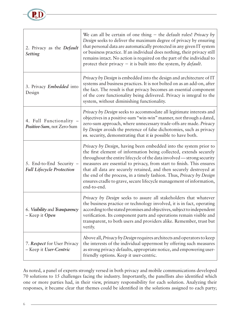

| 2. Privacy as the Default<br>Setting                         | We can all be certain of one thing $-$ the default rules! Privacy by<br>Design seeks to deliver the maximum degree of privacy by ensuring<br>that personal data are automatically protected in any given IT system<br>or business practice. If an individual does nothing, their privacy still<br>remains intact. No action is required on the part of the individual to<br>protect their privacy $-$ it is built into the system, by <i>default</i> .                                                                          |
|--------------------------------------------------------------|---------------------------------------------------------------------------------------------------------------------------------------------------------------------------------------------------------------------------------------------------------------------------------------------------------------------------------------------------------------------------------------------------------------------------------------------------------------------------------------------------------------------------------|
| 3. Privacy Embedded into<br>Design                           | Privacy by Design is embedded into the design and architecture of IT<br>systems and business practices. It is not bolted on as an add-on, after<br>the fact. The result is that privacy becomes an essential component<br>of the core functionality being delivered. Privacy is integral to the<br>system, without diminishing functionality.                                                                                                                                                                                   |
| 4. Full Functionality -<br>Positive-Sum, not Zero-Sum        | Privacy by Design seeks to accommodate all legitimate interests and<br>objectives in a positive-sum "win-win" manner, not through a dated,<br>zero-sum approach, where unnecessary trade-offs are made. Privacy<br>by Design avoids the pretence of false dichotomies, such as privacy<br><i>vs.</i> security, demonstrating that it <i>is</i> possible to have both.                                                                                                                                                           |
| 5. End-to-End Security -<br><b>Full Lifecycle Protection</b> | Privacy by Design, having been embedded into the system prior to<br>the first element of information being collected, extends securely<br>throughout the entire lifecycle of the data involved — strong security<br>measures are essential to privacy, from start to finish. This ensures<br>that all data are securely retained, and then securely destroyed at<br>the end of the process, in a timely fashion. Thus, Privacy by Design<br>ensures cradle to grave, secure lifecycle management of information,<br>end-to-end. |
| 6. Visibility and Transparency<br>- Keep it Open             | <i>Privacy by Design</i> seeks to assure all stakeholders that whatever<br>the business practice or technology involved, it is in fact, operating<br>according to the stated promises and objectives, subject to independent<br>verification. Its component parts and operations remain visible and<br>transparent, to both users and providers alike. Remember, trust but<br>verify.                                                                                                                                           |
| 7. Respect for User Privacy<br>- Keep it User-Centric        | Above all, <i>Privacy by Design</i> requires architects and operators to keep<br>the interests of the individual uppermost by offering such measures<br>as strong privacy defaults, appropriate notice, and empowering user-<br>friendly options. Keep it user-centric.                                                                                                                                                                                                                                                         |

As noted, a panel of experts strongly versed in both privacy and mobile communications developed 70 solutions to 15 challenges facing the industry. Importantly, the panellists also identified which one or more parties had, in their view, primary responsibility for each solution. Analyzing their responses, it became clear that themes could be identified in the solutions assigned to each party;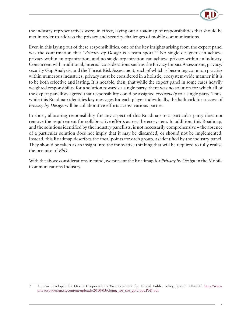

the industry representatives were, in effect, laying out a roadmap of responsibilities that should be met in order to address the privacy and security challenges of mobile communications.

Even in this laying out of these responsibilities, one of the key insights arising from the expert panel was the confirmation that "*Privacy by Design* is a team sport."7 No single designer can achieve privacy within an organization, and no single organization can achieve privacy within an industry. Concurrent with traditional, internal considerations such as the Privacy Impact Assessment, privacy/ security Gap Analysis, and the Threat Risk Assessment, each of which is becoming common practice within numerous industries, privacy must be considered in a holistic, ecosystem-wide manner if it is to be both effective and lasting. It is notable, then, that while the expert panel in some cases heavily weighted responsibility for a solution towards a single party, there was no solution for which all of the expert panellists agreed that responsibility could be assigned *exclusively* to a single party. Thus, while this Roadmap identifies key messages for each player individually, the hallmark for success of *Privacy by Design* will be collaborative efforts across various parties.

In short, allocating responsibility for any aspect of this Roadmap to a particular party does not remove the requirement for collaborative efforts across the ecosystem. In addition, this Roadmap, and the solutions identified by the industry panellists, is not necessarily comprehensive – the absence of a particular solution does not imply that it may be discarded, or should not be implemented. Instead, this Roadmap describes the focal points for each group, as identified by the industry panel. They should be taken as an insight into the innovative thinking that will be required to fully realise the promise of *PbD*.

With the above considerations in mind, we present the Roadmap for *Privacy by Design* in the Mobile Communications Industry.

<sup>7</sup> A term developed by Oracle Corporation's Vice President for Global Public Policy, Joseph Alhadeff. http://www. privacybydesign.ca/content/uploads/2010/03/Going\_for\_the\_gold.ppt.PbD.pdf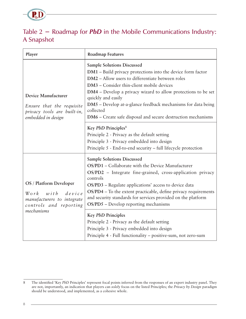

### Table 2 **−** Roadmap for *PbD* in the Mobile Communications Industry: A Snapshot

| Player                                                                                                                      | <b>Roadmap Features</b>                                                                                                                                                                                                                                                                                                                                                                                                               |
|-----------------------------------------------------------------------------------------------------------------------------|---------------------------------------------------------------------------------------------------------------------------------------------------------------------------------------------------------------------------------------------------------------------------------------------------------------------------------------------------------------------------------------------------------------------------------------|
| <b>Device Manufacturer</b><br>Ensure that the requisite<br>privacy tools are built-in,<br>embedded in design                | <b>Sample Solutions Discussed</b><br>DM1 – Build privacy protections into the device form factor<br>DM2 - Allow users to differentiate between roles<br>DM3 - Consider thin-client mobile devices<br>DM4 – Develop a privacy wizard to allow protections to be set<br>quickly and easily<br>DM5 – Develop at-a-glance feedback mechanisms for data being<br>collected<br>DM6 – Create safe disposal and secure destruction mechanisms |
|                                                                                                                             | Key PbD Principles <sup>8</sup><br>Principle 2 - Privacy as the default setting<br>Principle 3 - Privacy embedded into design<br>Principle 5 - End-to-end security – full lifecycle protection                                                                                                                                                                                                                                        |
| OS / Platform Developer<br>Work with<br>$d$ e v i c e<br>manufacturers to integrate<br>controls and reporting<br>mechanisms | <b>Sample Solutions Discussed</b><br>OS/PD1 - Collaborate with the Device Manufacturer<br>OS/PD2 - Integrate fine-grained, cross-application privacy<br>controls<br>OS/PD3 – Regulate applications' access to device data<br>OS/PD4 – To the extent practicable, define privacy requirements<br>and security standards for services provided on the platform<br>OS/PD5 - Develop reporting mechanisms                                 |
|                                                                                                                             | Key PbD Principles<br>Principle 2 - Privacy as the default setting<br>Principle 3 - Privacy embedded into design<br>Principle 4 - Full functionality – positive-sum, not zero-sum                                                                                                                                                                                                                                                     |

<sup>8</sup> The identified 'Key *PbD* Principles' represent focal points inferred from the responses of an expert industry panel. They are not, importantly, an indication that players can *solely* focus on the listed Principles; the *Privacy by Design* paradigm should be understood, and implemented, as a cohesive whole.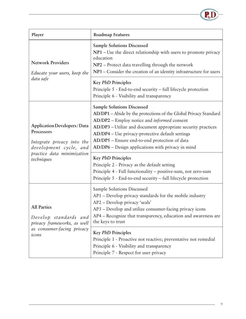

| Player                                                                                                                                        | <b>Roadmap Features</b>                                                                                                                                                                                                                                                                                                                                                                                                                                                                                                                                                                       |
|-----------------------------------------------------------------------------------------------------------------------------------------------|-----------------------------------------------------------------------------------------------------------------------------------------------------------------------------------------------------------------------------------------------------------------------------------------------------------------------------------------------------------------------------------------------------------------------------------------------------------------------------------------------------------------------------------------------------------------------------------------------|
| <b>Network Providers</b><br>Educate your users, keep the<br>data safe                                                                         | <b>Sample Solutions Discussed</b><br>NP1 – Use the direct relationship with users to promote privacy<br>education<br>NP2 – Protect data travelling through the network<br>NP3 – Consider the creation of an identity infrastructure for users<br>Key PbD Principles<br>Principle $5$ - End-to-end security – full lifecycle protection<br>Principle 6 - Visibility and transparency                                                                                                                                                                                                           |
| Application Developers/Data<br>Processors<br>Integrate privacy into the<br>development cycle, and<br>practice data minimization<br>techniques | <b>Sample Solutions Discussed</b><br>AD/DP1 - Abide by the protections of the Global Privacy Standard<br>AD/DP2 – Employ notice and <i>informed</i> consent<br>AD/DP3 - Utilize and document appropriate security practices<br>AD/DP4 - Use privacy-protective default settings<br>AD/DP5 - Ensure end-to-end protection of data<br>AD/DP6 – Design applications with privacy in mind<br>Key PbD Principles<br>Principle 2 - Privacy as the default setting<br>Principle 4 - Full functionality – positive-sum, not zero-sum<br>Principle 5 - End-to-end security – full lifecycle protection |
| <b>All Parties</b><br>Develop standards and<br>privacy frameworks, as well<br>as consumer-facing privacy<br>icons                             | Sample Solutions Discussed<br>AP1 - Develop privacy standards for the mobile industry<br>AP2 – Develop privacy 'seals'<br>AP3 – Develop and utilize consumer-facing privacy icons<br>AP4 – Recognize that transparency, education and awareness are<br>the keys to trust<br>Key PbD Principles                                                                                                                                                                                                                                                                                                |
|                                                                                                                                               | Principle 1 - Proactive not reactive; preventative not remedial<br>Principle 6 - Visibility and transparency<br>Principle 7 - Respect for user privacy                                                                                                                                                                                                                                                                                                                                                                                                                                        |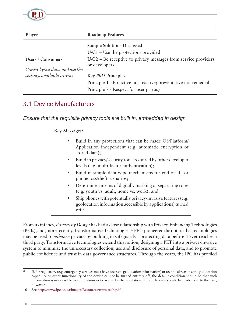

| <b>Player</b>                                               | <b>Roadmap Features</b>                                                                                                                                        |
|-------------------------------------------------------------|----------------------------------------------------------------------------------------------------------------------------------------------------------------|
| <b>Users / Consumers</b>                                    | <b>Sample Solutions Discussed</b><br>$U/C1 - Use the protection provided$<br>$U/C2$ – Be receptive to privacy messages from service providers<br>or developers |
| Control your data, and use the<br>settings available to you | <b>Key PbD Principles</b><br>Principle 1 - Proactive not reactive; preventative not remedial<br>Principle 7 - Respect for user privacy                         |

### 3.1 Device Manufacturers

*Ensure that the requisite privacy tools are built in, embedded in design*

| <b>Key Messages:</b> |                                                                                                                                        |  |
|----------------------|----------------------------------------------------------------------------------------------------------------------------------------|--|
|                      | Build in any protections that can be made OS/Platform/<br>Application independent (e.g. automatic encryption of<br>stored data);       |  |
|                      | Build in privacy/security tools required by other developer<br>levels (e.g. multi-factor authentication);                              |  |
|                      | Build in simple data wipe mechanisms for end-of-life or<br>phone loss/theft scenarios;                                                 |  |
| $\bullet$            | Determine a means of digitally marking or separating roles<br>(e.g. youth vs. adult, home vs. work); and                               |  |
| $\bullet$            | Ship phones with potentially privacy-invasive features (e.g.<br>geolocation information accessible by applications) turned<br>off $^9$ |  |

From its infancy, *Privacy by Design* has had a close relationship with Privacy-Enhancing Technologies (PETs), and, more recently, Transformative Technologies.10 PETs pioneered the notion that technologies may be used to *enhance* privacy by building in safeguards – protecting data before it ever reaches a third party. Transformative technologies extend this notion, designing a PET into a privacy-invasive system to minimize the unnecessary collection, use and disclosure of personal data, and to promote public confidence and trust in data governance structures. Through the years, the IPC has profiled

<sup>9</sup> If, for regulatory (e.g. emergency services must have access to geolocation information) or technical reasons, the geolocation capability or other functionality of the device cannot be turned entirely off, the default condition should be that such information is inaccessible to applications not covered by the regulation. This difference should be made clear to the user, however.

<sup>10</sup> See http://www.ipc.on.ca/images/Resources/trans-tech.pdf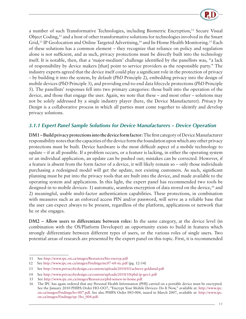

a number of such Transformative Technologies, including Biometric Encryption,<sup>11</sup> Secure Visual Object Coding,12 and a host of other transformative solutions for technologies involved in the Smart Grid,<sup>13</sup> IP Geolocation and Online Targeted Advertising,<sup>14</sup> and In-Home Health Monitoring.<sup>15</sup> Each of these solutions has a common element – they recognize that reliance on policy and regulation alone is not sufficient, and as such, privacy protections must be directly built into the technology itself. It is notable, then, that a 'major-medium' challenge identified by the panellists was, "a lack of responsibility by device makers [that] point to service providers as the responsible party." The industry experts agreed that the device itself could play a significant role in the protection of privacy – by building it into the system, by default (*PbD* Principle 2), embedding privacy into the design of mobile devices (*PbD* Principle 3), and providing end-to-end data lifecycle protections (*PbD* Principle 5). The panellists' responses fell into two primary categories: those built into the operation of the device, and those that engage the user. Again, we note that these – and most other – solutions may not be solely addressed by a single industry player (here, the Device Manufacturer). *Privacy by Design* is a collaborative process in which all parties must come together to identify and develop privacy solutions.

#### *3.1.1 Expert Panel Sample Solutions for Device Manufacturers – Device Operation*

**DM1 – Build privacy protections into the device form factor:** The first category of Device Manufacturer responsibility notes that the capacities of the device form the foundation upon which any other privacy protections must be built. Device hardware is the most difficult aspect of a mobile technology to update – if at all possible. If a problem occurs, or a feature is lacking, in either the operating system or an individual application, an update can be pushed out; mistakes can be corrected. However, if a feature is absent from the form factor of a device, it will likely remain so – only those individuals purchasing a redesigned model will get the update, not existing customers. As such, significant planning must be put into the privacy tools that are built into the device, and made available to the operating system and applications. In this light, the expert panel has recommended two tools be designed-in to mobile devices: 1) automatic, seamless encryption of data stored on the device,<sup>16</sup> and 2) meaningful, usable multi-factor authentication capabilities. These protections, in combination with measures such as an enforced access PIN and/or password, will serve as a reliable base that the user can expect always to be present, regardless of the platform, applications or network that he or she engages.

**DM2 – Allow users to differentiate between roles:** In the same category, at the device level (in combination with the OS/Platform Developer) an opportunity exists to build in features which strongly differentiate between different types of users, or the various roles of single users. Two potential areas of research are presented by the expert panel on this topic. First, it is recommended

<sup>11</sup> See http://www.ipc.on.ca/images/Resources/bio-encryp.pdf

<sup>12</sup> See http://www.ipc.on.ca/images/Findings/mc07-68-ttc.pdf (pg. 12-14)

<sup>13</sup> See http://www.privacybydesign.ca/content/uploads/2010/03/achieve-goldstnd.pdf

<sup>14</sup> See http://www.privacybydesign.ca/content/uploads/2010/10/pbd-ip-geo1.pdf

<sup>15</sup> See http://www.ipc.on.ca/images/Resources/pbd-sensor-in-home.pdf

<sup>16</sup> The IPC has again ordered that any Personal Health Information (PHI) carried on a portable device must be encrypted. See the January 2010 PHIPA Order HO-OO7, "Encrypt Your Mobile Devices: Do It Now," available at: http://www.ipc. on.ca/images/Findings/ho-007.pdf. See also PHIPA Order HO-004, issued in March 2007, available at: http://www.ipc. on.ca/images/Findings/up-3ho\_004.pdf.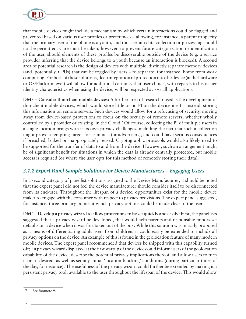

that mobile devices might include a mechanism by which certain interactions could be flagged and prevented based on various user profiles or preferences – allowing, for instance, a parent to specify that the primary user of the phone is a youth, and thus certain data collection or processing should not be permitted. Care must be taken, however, to prevent future categorization or identification of the user, should elements of these profiles be discoverable outside of the device (e.g. a service provider inferring that the device belongs to a youth because an interaction is blocked). A second area of potential research is the design of devices with multiple, distinctly separate memory devices (and, potentially, CPUs) that can be toggled by users – to separate, for instance, home from work computing. For both of these solutions, deep integration of protection into the device (at the hardware or OS/Platform level) will allow for additional certainty that user choice, with regards to his or her identity characteristics when using the device, will be respected across all applications.

**DM3 – Consider thin-client mobile devices:** A further area of research raised is the development of thin-client mobile devices, which would store little or no PI on the device itself – instead, storing this information on remote servers. Such devices would allow for a refocusing of security, moving away from device-based protections to focus on the security of remote servers, whether wholly controlled by a provider or existing 'in the Cloud.' Of course, collecting the PI of multiple users in a single location brings with it its own privacy challenges, including the fact that such a collection might prove a tempting target for criminals (or advertisers), and could have serious consequences if breached, leaked or inappropriately reused. Cryptographic protocols would also likely need to be supported for the transfer of data to and from the device. However, such an arrangement might be of significant benefit for situations in which the data is already centrally protected, but mobile access is required (or where the user opts for this method of remotely storing their data).

### *3.1.2 Expert Panel Sample Solutions for Device Manufacturers – Engaging Users*

In a second category of panellist solutions assigned to the Device Manufacturer, it should be noted that the expert panel did not feel the device manufacturer should consider itself to be disconnected from its end-user. Throughout the lifespan of a device, opportunities exist for the mobile device maker to engage with the consumer with respect to privacy provisions. The expert panel suggested, for instance, three primary points at which privacy options could be made clear to the user.

**DM4 – Develop a privacy wizard to allow protections to be set quickly and easily:** First, the panellists suggested that a privacy wizard be developed, that would help parents and responsible minors set defaults on a device when it was first taken out of the box. While this solution was initially proposed as a means of differentiating adult users from children, it could easily be extended to include all privacy options on the device. An example of this is found in the geolocation feature of many modern mobile devices. The expert panel recommended that devices be shipped with this capability turned **off**; 17 a privacy wizard displayed at the first startup of the device could inform users of the geolocation capability of the device, describe the potential privacy implications thereof, and allow users to turn it on, if desired, as well as set any initial 'location-blocking' conditions (during particular times of the day, for instance). The usefulness of the privacy wizard could further be extended by making it a persistent privacy tool, available to the user throughout the lifespan of the device. This would allow

<sup>17</sup> See footnote 9.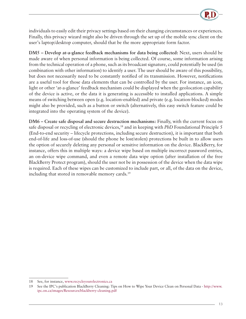

individuals to easily edit their privacy settings based on their changing circumstances or experiences. Finally, this privacy wizard might also be driven through the set up of the mobile sync client on the user's laptop/desktop computer, should that be the more appropriate form factor.

**DM5 – Develop at-a-glance feedback mechanisms for data being collected:** Next, users should be made aware of when personal information is being collected. Of course, some information arising from the technical operation of a phone, such as its broadcast signature, could potentially be used (in combination with other information) to identify a user. The user should be aware of this possibility, but does not necessarily need to be constantly notified of its transmission. However, notifications are a useful tool for those data elements that can be controlled by the user. For instance, an icon, light or other 'at-a-glance' feedback mechanism could be displayed when the geolocation capability of the device is active, or the data it is generating is accessible to installed applications. A simple means of switching between open (e.g. location-enabled) and private (e.g. location-blocked) modes might also be provided, such as a button or switch (alternatively, this easy switch feature could be integrated into the operating system of the device).

**DM6 – Create safe disposal and secure destruction mechanisms:** Finally, with the current focus on safe disposal or recycling of electronic devices,<sup>18</sup> and in keeping with *PbD* Foundational Principle 5 (End-to-end security – lifecycle protections, including secure destruction), it is important that both end-of-life and loss-of-use (should the phone be lost/stolen) protections be built in to allow users the option of securely deleting any personal or sensitive information on the device. BlackBerry, for instance, offers this in multiple ways: a device wipe based on multiple incorrect password entries, an on-device wipe command, and even a remote data wipe option (after installation of the free BlackBerry Protect program), should the user not be in possession of the device when the data wipe is required. Each of these wipes can be customized to include part, or all, of the data on the device, including that stored in removable memory cards.<sup>19</sup>

<sup>18</sup> See, for instance, www.recycleyourelectronics.ca

<sup>19</sup> See the IPC's publication BlackBerry Cleaning: Tips on How to Wipe Your Device Clean on Personal Data - http://www. ipc.on.ca/images/Resources/blackberry-cleaning.pdf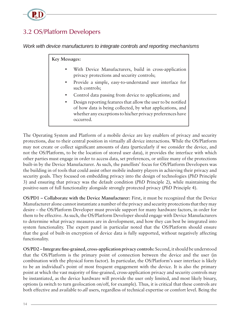

### 3.2 OS/Platform Developers

*Work with device manufacturers to integrate controls and reporting mechanisms*

**Key Messages:** With Device Manufacturers, build in cross-application privacy protections and security controls; • Provide a simple, easy-to-understand user interface for such controls; • Control data passing from device to applications; and • Design reporting features that allow the user to be notified of how data is being collected, by what applications, and whether any exceptions to his/her privacy preferences have occurred.

The Operating System and Platform of a mobile device are key enablers of privacy and security protections, due to their central position in virtually all device interactions. While the OS/Platform may not create or collect significant amounts of data (particularly if we consider the device, and not the OS/Platform, to be the location of stored user data), it provides the interface with which other parties must engage in order to access data, set preferences, or utilize many of the protections built-in by the Device Manufacturer. As such, the panellists' focus for OS/Platform Developers was the building in of tools that could assist other mobile industry players in achieving their privacy and security goals. They focused on embedding privacy into the design of technologies (*PbD* Principle 3) and ensuring that privacy was the default condition (*PbD* Principle 2), while maintaining the positive-sum of full functionality alongside strongly protected privacy (*PbD* Principle 4).

**OS/PD1 – Collaborate with the Device Manufacturer:** First, it must be recognized that the Device Manufacturer alone cannot instantiate a number of the privacy and security protections that they may desire – the OS/Platform Developer must provide support for many hardware factors, in order for them to be effective. As such, the OS/Platform Developer should engage with Device Manufacturers to determine what privacy measures are in development, and how they can best be integrated into system functionality. The expert panel in particular noted that the OS/Platform should ensure that the goal of built-in encryption of device data is fully supported, without negatively affecting functionality.

**OS/PD2 – Integrate fine-grained, cross-application privacy controls:** Second, it should be understood that the OS/Platform is the primary point of connection between the device and the user (in combination with the physical form factor). In particular, the OS/Platform's user interface is likely to be an individual's point of most frequent engagement with the device. It is also the primary point at which the vast majority of fine-grained, cross-application privacy and security controls may be instantiated, as the device hardware will provide the user only limited, and most likely binary, options (a switch to turn geolocation on/off, for example). Thus, it is critical that these controls are both effective and available to *all* users, regardless of technical expertise or comfort level. Being the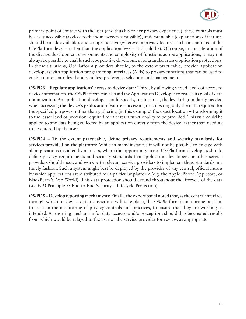

primary point of contact with the user (and thus his or her privacy experience), these controls must be easily accessible (as close to the home screen as possible), understandable (explanations of features should be made available), and comprehensive (wherever a privacy feature can be instantiated at the OS/Platform level – rather than the application level – it should be). Of course, in consideration of the diverse development environments and complexity of functions across applications, it may not always be possible to enable such cooperative development of granular cross-application protections. In those situations, OS/Platform providers should, to the extent practicable, provide application developers with application programming interfaces (APIs) to privacy functions that can be used to enable more centralized and seamless preference selection and management.

**OS/PD3 – Regulate applications' access to device data:** Third, by allowing varied levels of access to device information, the OS/Platform can also aid the Application Developer to realise its goal of data minimization. An application developer could specify, for instance, the level of granularity needed when accessing the device's geolocation feature – accessing or collecting only the data required for the specified purposes, rather than gathering (in this example) the exact location – transforming it to the lesser level of precision required for a certain functionality to be provided. This rule could be applied to any data being collected by an application directly from the device, rather than needing to be entered by the user.

**OS/PD4 – To the extent practicable, define privacy requirements and security standards for services provided on the platform:** While in many instances it will not be possible to engage with all applications installed by all users, where the opportunity arises OS/Platform developers should define privacy requirements and security standards that application developers or other service providers should meet, and work with relevant service providers to implement these standards in a timely fashion. Such a system might best be deployed by the provider of any central, official means by which applications are distributed for a particular platform (e.g. the Apple iPhone App Store, or BlackBerry's App World). This data protection should extend throughout the lifecycle of the data (see *PbD* Principle 5: End-to-End Security – Lifecycle Protection).

**OS/PD5 – Develop reporting mechanisms:** Finally, the expert panel noted that, as the central interface through which on-device data transactions will take place, the OS/Platform is in a prime position to assist in the monitoring of privacy controls and practices, to ensure that they are working as intended. A reporting mechanism for data accesses and/or exceptions should thus be created, results from which would be relayed to the user or the service provider for review, as appropriate.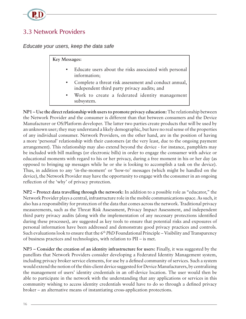

### 3.3 Network Providers

*Educate your users, keep the data safe*

**Key Messages:** Educate users about the risks associated with personal information; Complete a threat risk assessment and conduct annual, independent third party privacy audits; and Work to create a federated identity management subsystem.

**NP1 – Use the direct relationship with users to promote privacy education:** The relationship between the Network Provider and the consumer is different than that between consumers and the Device Manufacturer or OS/Platform developer. The latter two parties create products that will be used by an unknown user; they may understand a likely demographic, but have no real sense of the properties of any individual consumer. Network Providers, on the other hand, are in the position of having a more 'personal' relationship with their customers (at the very least, due to the ongoing payment arrangement). This relationship may also extend beyond the device - for instance, pamphlets may be included with bill mailings (or electronic bills) in order to engage the consumer with advice or educational moments with regard to his or her privacy, during a free moment in his or her day (as opposed to bringing up messages while he or she is looking to accomplish a task on the device). Thus, in addition to any 'in-the-moment' or 'how-to' messages (which might be handled on the device), the Network Provider may have the opportunity to engage with the consumer in an ongoing reflection of the 'why' of privacy protection.

**NP2 – Protect data travelling through the network:** In addition to a possible role as "educator," the Network Provider plays a central, infrastructure role in the mobile communications space. As such, it also has a responsibility for protection of the data that comes across the network. Traditional privacy measurements, such as the Threat Risk Assessment, Privacy Impact Assessment, and independent third party privacy audits (along with the implementation of any necessary protections identified during these processes), are suggested as key tools to ensure that potential risks and exposures of personal information have been addressed and demonstrate good privacy practices and controls. Such evaluations look to ensure that the 6<sup>th</sup> *PbD* Foundational Principle – Visibility and Transparency of business practices and technologies, with relation to PII – is met.

**NP3 – Consider the creation of an identity infrastructure for users:** Finally, it was suggested by the panellists that Network Providers consider developing a Federated Identity Management system, including privacy broker service elements, for use by a defined community of services. Such a system would extend the notion of the thin-client device suggested for Device Manufacturers, by centralizing the management of users' identity credentials in an off-device location. The user would then be able to participate in the network with the understanding that any applications or services in this community wishing to access identity credentials would have to do so through a defined privacy broker – an alternative means of instantiating cross-application protections.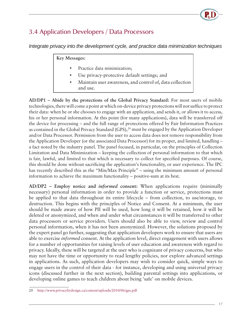### 3.4 Application Developers / Data Processors

*Integrate privacy into the development cycle, and practice data minimization techniques*

**Key Messages:**

- Practice data minimization;
- Use privacy-protective default settings; and
- Maintain user awareness, and control of, data collection and use.

**AD/DP1 – Abide by the protections of the Global Privacy Standard:** For most users of mobile technologies, there will come a point at which on-device privacy protections will not suffice to protect their data: when he or she chooses to engage with an application, and sends it, or allows it to access, his or her personal information. At this point (for many applications), data will be transferred off the device for processing – and the full range of protections offered by Fair Information Practices as contained in the Global Privacy Standard (GPS),<sup>20</sup> must be engaged by the Application Developer and/or Data Processor. Permission from the user to access data does not remove responsibility from the Application Developer (or the associated Data Processor) for its proper, and limited, handling – a fact noted by the industry panel. The panel focused, in particular, on the principles of Collection Limitation and Data Minimization – keeping the collection of personal information to that which is fair, lawful, and limited to that which is necessary to collect for specified purposes. Of course, this should be done without sacrificing the application's functionality, or user experience. The IPC has recently described this as the "Min/Max Principle" – using the minimum amount of personal information to achieve the maximum functionality – positive-sum at its best.

**AD/DP2 – Employ notice and** *informed* **consent:** When applications require (minimally necessary) personal information in order to provide a function or service, protections must be applied to that data throughout its entire lifecycle – from collection, to use/storage, to destruction. This begins with the principles of Notice and Consent. At a minimum, the user should be made aware of how PII will be used, how long it will be retained, how it will be deleted or anonymized, and when and under what circumstances it will be transferred to other data processors or service providers. Users should also be able to view, review and control personal information, when it has not been anonymized. However, the solutions proposed by the expert panel go further, suggesting that application developers work to ensure that users are able to exercise *informed* consent. At the application level, direct engagement with users allows for a number of opportunities for raising levels of user education and awareness with regard to privacy. Ideally, these will be targeted at the user who is cognizant of privacy concerns, but who may not have the time or opportunity to read lengthy policies, nor explore advanced settings in applications. As such, application developers may wish to consider quick, simple ways to engage users in the control of their data - for instance, developing and using universal privacy icons (discussed further in the next section), building parental settings into applications, or developing online games to teach children about being 'safe' on mobile devices.

<sup>20</sup> http://www.privacybydesign.ca/content/uploads/2010/06/gps.pdf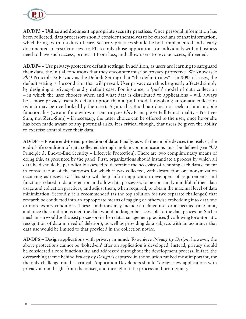

**AD/DP3 – Utilize and document appropriate security practices:** Once personal information has been collected, data processors should consider themselves to be custodians of that information, which brings with it a duty of care. Security practices should be both implemented and clearly documented to restrict access to PII to only those applications or individuals with a business need to have such access, protect it from loss, and allow users to revoke access, if needed.

**AD/DP4 – Use privacy-protective default settings:** In addition, as users are learning to safeguard their data, the initial conditions that they encounter must be privacy-protective. We know (see *PbD* Principle 2: Privacy as the Default Setting) that "the default rules" – in 80% of cases, the default setting is the condition that will prevail. User privacy can thus be greatly affected simply by designing a privacy-friendly default case. For instance, a 'push' model of data collection – in which the user chooses when and what data is distributed to applications – will always be a more privacy-friendly default option than a 'pull' model, involving automatic collection (which may be overlooked by the user). Again, this Roadmap does not seek to limit mobile functionality (we aim for a win-win scenario; see *PbD* Principle 4: Full Functionality – Positive-Sum, not Zero-Sum) – if necessary, the latter choice can be offered to the user, once he or she has been made aware of any potential risks. It is critical though, that users be given the ability to exercise control over their data.

**AD/DP5 – Ensure end-to-end protection of data:** Finally, as with the mobile devices themselves, the end-of-life condition of data collected through mobile communications must be defined (see *PbD* Principle 5: End-to-End Security – Lifecycle Protection). There are two complimentary means of doing this, as presented by the panel. First, organizations should instantiate a process by which all data held should be periodically assessed to determine the necessity of retaining each data element in consideration of the purposes for which it was collected, with destruction or anonymization occurring as necessary. This step will help inform application developers of requirements and functions related to data retention and allow data processers to be constantly mindful of their data usage and collection practices, and adjust them, when required, to obtain the maximal level of data minimization. Secondly, it is recommended (as the top solution for two separate challenges) that research be conducted into an appropriate means of tagging or otherwise embedding into data one or more expiry conditions. These conditions may include a defined use, or a specified time limit, and once the condition is met, the data would no longer be accessible to the data processor. Such a mechanism would both assist processors in their data management practices (by allowing for automatic recognition of data in need of deletion), as well as providing data subjects with an assurance that data use would be limited to that provided in the collection notice.

**AD/DP6 – Design applications with privacy in mind:** To achieve *Privacy by Design*, however, the above protections cannot be 'bolted-on' after an application is developed. Instead, privacy should be considered a core functionality, and addressed throughout the development process. In fact, the overarching theme behind *Privacy by Design* is captured in the solution ranked most important, for the only challenge rated as critical: Application Developers should "design new applications with privacy in mind right from the outset, and throughout the process and prototyping."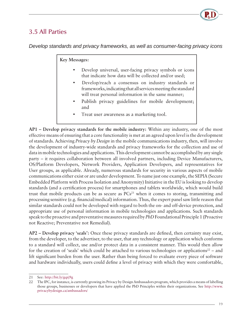

### 3.5 All Parties

*Develop standards and privacy frameworks, as well as consumer-facing privacy icons*

**Key Messages:**

- Develop universal, user-facing privacy symbols or icons that indicate how data will be collected and/or used;
- Develop/reach a consensus on industry standards or frameworks, indicating that all services meeting the standard will treat personal information in the same manner;
- Publish privacy guidelines for mobile development; and
- Treat user awareness as a marketing tool.

**AP1 – Develop privacy standards for the mobile industry:** Within any industry, one of the most effective means of ensuring that a core functionality is met at an agreed upon level is the development of standards. Achieving *Privacy by Design* in the mobile communications industry, then, will involve the development of industry-wide standards and privacy frameworks for the collection and use of data in mobile technologies and applications. This development cannot be accomplished by any single party – it requires collaboration between all involved partners, including Device Manufacturers, OS/Platform Developers, Network Providers, Application Developers, and representatives for User groups, as applicable. Already, numerous standards for security in various aspects of mobile communications either exist or are under development. To name just one example, the SEPIA (Secure Embedded Platform with Process Isolation and Anonymity) Initiative in the EU is looking to develop standards (and a certification process) for smartphones and tablets worldwide, which would build trust that mobile products can be as secure as  $PCs<sup>21</sup>$  when it comes to storing, transmitting and processing sensitive (e.g. financial/medical) information. Thus, the expert panel saw little reason that similar standards could not be developed with regard to both the on- and off-device protection, and appropriate use of personal information in mobile technologies and applications. Such standards speak to the proactive and preventative measures required by *PbD* Foundational Principle 1 (Proactive not Reactive; Preventative not Remedial).

**AP2 – Develop privacy 'seals':** Once these privacy standards are defined, then certainty may exist, from the developer, to the advertiser, to the user, that any technology or application which conforms to a standard will collect, use and/or protect data in a consistent manner. This would then allow for the creation of 'seals' which could be attached to various technologies or applications<sup>22</sup> – and lift significant burden from the user. Rather than being forced to evaluate every piece of software and hardware individually, users could define a level of privacy with which they were comfortable,

<sup>21</sup> See: http://bit.ly/gqrj9g

<sup>22</sup> The IPC, for instance, is currently growing its Privacy by Design Ambassadors program, which provides a means of labelling those groups, businesses or developers that have applied the PbD Principles within their organizations. See http://www. privacybydesign.ca/ambassadors/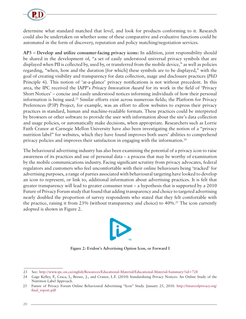

determine what standard matched that level, and look for products conforming to it. Research could also be undertaken on whether some of these comparative and evaluative functions could be automated in the form of discovery, reputation and policy matching/negotiation services.

**AP3 – Develop and utilize consumer-facing privacy icons:** In addition, joint responsibility should be shared in the development of, "a set of easily understood universal privacy symbols that are displayed when PII is collected by, used by, or transferred from the mobile device," as well as policies regarding, "when, how and the duration [for which] these symbols are to be displayed," with the goal of creating visibility and transparency for data collection, usage and disclosure practices (*PbD* Principle 6). This notion of 'at-a-glance' privacy notifications is not without precedent. In this area, the IPC received the IAPP's *Privacy Innovation Award* for its work in the field of 'Privacy Short Notices' – concise and easily understood notices informing individuals of how their personal information is being used.23 Similar efforts exist across numerous fields; the Platform for Privacy Preferences (P3P) Project, for example, was an effort to allow websites to express their privacy practices in standard, human and machine-readable formats. These practices could be interpreted by browsers or other software to provide the user with information about the site's data collection and usage policies, or automatically make decisions, when appropriate. Researchers such as Lorrie Faith Cranor at Carnegie Mellon University have also been investigating the notion of a "privacy nutrition label" for websites, which they have found improves both users' abilities to comprehend privacy policies and improves their satisfaction in engaging with the information.24

The behavioural advertising industry has also been examining the potential of a privacy icon to raise awareness of its practices and use of personal data – a process that may be worthy of examination by the mobile communications industry. Facing significant scrutiny from privacy advocates, federal regulators and customers who feel uncomfortable with their online behaviours being 'tracked' for advertising purposes, a range of parties associated with behavioural targeting have looked to develop an icon to represent, or link to, additional information about advertising practices. It is felt that greater transparency will lead to greater consumer trust – a hypothesis that is supported by a 2010 Future of Privacy Forum study that found that adding transparency and choice to targeted advertising nearly doubled the proportion of survey respondents who stated that they felt comfortable with the practice, raising it from 23% (without transparency and choice) to 40%.<sup>25</sup> The icon currently adopted is shown in Figure 2.



**Figure 2: Evidon's Advertising Option Icon, or Forward I**

<sup>23</sup> See: http://www.ipc.on.ca/english/Resources/Educational-Material/Educational-Material-Summary/?id=728

<sup>24</sup> Gage Kelley, P., Cesca, L, Bresee, J., and Cranor, L.F. (2010) Standardizing Privacy Notices: An Online Study of the Nutrition Label Approach.

<sup>25</sup> Future of Privacy Forum Online Behavioural Advertising "Icon" Study. January 25, 2010. http://futureofprivacy.org/ final\_report.pdf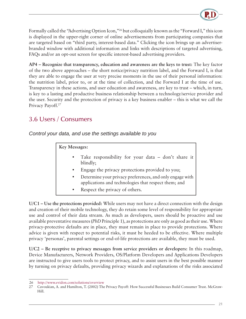

Formally called the "Advertising Option Icon,"<sup>26</sup> but colloquially known as the "Forward I," this icon is displayed in the upper-right corner of online advertisements from participating companies that are targeted based on "third party, interest-based data." Clicking the icon brings up an advertiserbranded window with additional information and links with descriptions of targeted advertising, FAQs and/or an opt-out screen for specific interest-based advertising providers.

**AP4 – Recognize that transparency, education and awareness are the keys to trust:** The key factor of the two above approaches – the short notice/privacy nutrition label, and the Forward I, is that they are able to engage the user at very precise moments in the use of their personal information: the nutrition label, prior to, or at the time of collection, and the Forward I at the time of use. Transparency in these actions, and user education and awareness, are key to trust – which, in turn, is key to a lasting and productive business relationship between a technology/service provider and the user. Security and the protection of privacy is a key business enabler – this is what we call the Privacy Payoff.<sup>27</sup>

### 3.6 Users / Consumers

*Control your data, and use the settings available to you*

**Key Messages:**

- Take responsibility for your data  $-$  don't share it blindly;
- Engage the privacy protections provided to you;
- Determine your privacy preferences, and only engage with applications and technologies that respect them; and
- Respect the privacy of others.

**U/C1 – Use the protections provided:** While users may not have a direct connection with the design and creation of their mobile technology, they do retain some level of responsibility for appropriate use and control of their data stream. As much as developers, users should be proactive and use available preventative measures (*PbD* Principle 1), as protections are only as good as their use. Where privacy-protective defaults are in place, they must remain in place to provide protections. Where advice is given with respect to potential risks, it must be heeded to be effective. Where multiple privacy 'personas', parental settings or end-of-life protections are available, they must be used.

**U/C2 – Be receptive to privacy messages from service providers or developers:** In this roadmap, Device Manufacturers, Network Providers, OS/Platform Developers and Applications Developers are instructed to give users tools to protect privacy, and to assist users in the best possible manner by turning on privacy defaults, providing privacy wizards and explanations of the risks associated

<sup>26</sup> http://www.evidon.com/solutions/overview

<sup>27</sup> Cavoukian, A. and Hamilton, T. (2002) The Privacy Payoff: How Successful Businesses Build Consumer Trust. McGraw-Hill.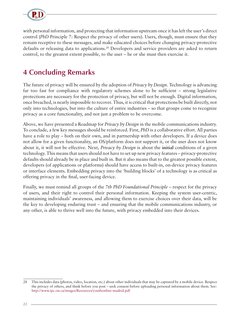

with personal information, and protecting that information upstream once it has left the user's direct control (*PbD* Principle 7: Respect the privacy of other users). Users, though, must ensure that they remain receptive to these messages, and make educated choices before changing privacy-protective defaults or releasing data to applications.<sup>28</sup> Developers and service providers are asked to return control, to the greatest extent possible, to the user – he or she must then exercise it.

# **4 Concluding Remarks**

The future of privacy will be ensured by the adoption of *Privacy by Design*. Technology is advancing far too fast for compliance with regulatory schemes alone to be sufficient – strong legislative protections are necessary for the protection of privacy, but will not be enough. Digital information, once breached, is nearly impossible to recover. Thus, it is critical that protections be built directly, not only into technologies, but into the culture of entire industries – so that groups come to recognize privacy as a core functionality, and not just a problem to be overcome.

Above, we have presented a Roadmap for *Privacy by Design* in the mobile communications industry. To conclude, a few key messages should be reinforced. First, *PbD* is a collaborative effort. All parties have a role to play – both on their own, and in partnership with other developers. If a device does not allow for a given functionality, an OS/platform does not support it, or the user does not know about it, it will not be effective. Next, *Privacy by Design* is about the **initial** conditions of a given technology. This means that users should not have to set up new privacy features – privacy-protective defaults should already be in place and built in. But it also means that to the greatest possible extent, developers (of applications or platforms) should have access to built-in, on-device privacy features or interface elements. Embedding privacy into the 'building blocks' of a technology is as critical as offering privacy in the final, user-facing device.

Finally, we must remind all groups of the *7th PbD Foundational Principle* – respect for the privacy of users, and their right to control their personal information. Keeping the system user-centric, maintaining individuals' awareness, and allowing them to exercise choices over their data, will be the key to developing enduring trust – and ensuring that the mobile communications industry, or any other, is able to thrive well into the future, with privacy embedded into their devices.

<sup>28</sup> This includes data (photos, video, location, etc.) about other individuals that may be captured by a mobile device. Respect the privacy of others, and think before you post – seek consent before uploading personal information about them. See: http://www.ipc.on.ca/images/Resources/youthonline-madrid.pdf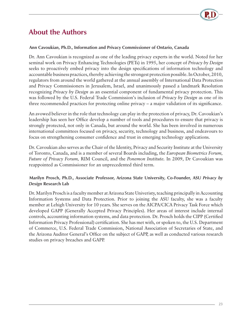# **About the Authors**

#### **Ann Cavoukian, Ph.D., Information and Privacy Commissioner of Ontario, Canada**

Dr. Ann Cavoukian is recognized as one of the leading privacy experts in the world. Noted for her seminal work on Privacy Enhancing Technologies (PETs) in 1995, her concept of *Privacy by Design* seeks to proactively embed privacy into the design specifications of information technology and accountable business practices, thereby achieving the strongest protection possible. In October, 2010, regulators from around the world gathered at the annual assembly of International Data Protection and Privacy Commissioners in Jerusalem, Israel, and unanimously passed a landmark Resolution recognizing *Privacy by Design* as an essential component of fundamental privacy protection. This was followed by the U.S. Federal Trade Commission's inclusion of *Privacy by Design* as one of its three recommended practices for protecting online privacy – a major validation of its significance.

An avowed believer in the role that technology can play in the protection of privacy, Dr. Cavoukian's leadership has seen her Office develop a number of tools and procedures to ensure that privacy is strongly protected, not only in Canada, but around the world. She has been involved in numerous international committees focused on privacy, security, technology and business, and endeavours to focus on strengthening consumer confidence and trust in emerging technology applications.

Dr. Cavoukian also serves as the Chair of the Identity, Privacy and Security Institute at the University of Toronto, Canada, and is a member of several Boards including, the *European Biometrics Forum, Future of Privacy Forum,* RIM Council, and the *Ponemon Institute.* In 2009, Dr Cavoukian was reappointed as Commissioner for an unprecedented third term.

**Marilyn Prosch, Ph.D., Associate Professor, Arizona State University, Co-Founder, ASU** *Privacy by Design* **Research Lab**

Dr. Marilyn Prosch is a faculty member at Arizona State Univeristy, teaching principally in Accounting Information Systems and Data Protection. Prior to joining the ASU faculty, she was a faculty member at Lehigh University for 10 years. She serves on the AICPA/CICA Privacy Task Force which developed GAPP (Generally Accepted Privacy Principles). Her areas of interest include internal controls, accounting information systems, and data protection. Dr. Prosch holds the CIPP (Certified Information Privacy Professional) certification. She has met with, or spoken to, the U.S. Department of Commerce, U.S. Federal Trade Commission, National Association of Secretaries of State, and the Arizona Auditor General's Office on the subject of GAPP, as well as conducted various research studies on privacy breaches and GAPP.